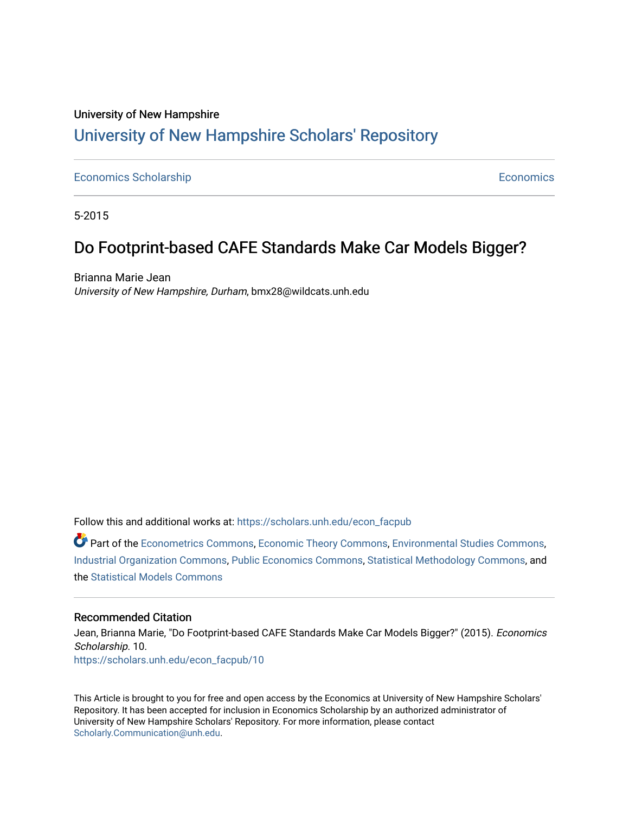## University of New Hampshire [University of New Hampshire Scholars' Repository](https://scholars.unh.edu/)

### [Economics Scholarship](https://scholars.unh.edu/econ_facpub) **Economics** Scholarship **Economics Economics Economics**

5-2015

# Do Footprint-based CAFE Standards Make Car Models Bigger?

Brianna Marie Jean University of New Hampshire, Durham, bmx28@wildcats.unh.edu

Follow this and additional works at: [https://scholars.unh.edu/econ\\_facpub](https://scholars.unh.edu/econ_facpub?utm_source=scholars.unh.edu%2Fecon_facpub%2F10&utm_medium=PDF&utm_campaign=PDFCoverPages) 

Part of the [Econometrics Commons](http://network.bepress.com/hgg/discipline/342?utm_source=scholars.unh.edu%2Fecon_facpub%2F10&utm_medium=PDF&utm_campaign=PDFCoverPages), [Economic Theory Commons](http://network.bepress.com/hgg/discipline/344?utm_source=scholars.unh.edu%2Fecon_facpub%2F10&utm_medium=PDF&utm_campaign=PDFCoverPages), [Environmental Studies Commons,](http://network.bepress.com/hgg/discipline/1333?utm_source=scholars.unh.edu%2Fecon_facpub%2F10&utm_medium=PDF&utm_campaign=PDFCoverPages) [Industrial Organization Commons](http://network.bepress.com/hgg/discipline/347?utm_source=scholars.unh.edu%2Fecon_facpub%2F10&utm_medium=PDF&utm_campaign=PDFCoverPages), [Public Economics Commons](http://network.bepress.com/hgg/discipline/351?utm_source=scholars.unh.edu%2Fecon_facpub%2F10&utm_medium=PDF&utm_campaign=PDFCoverPages), [Statistical Methodology Commons](http://network.bepress.com/hgg/discipline/213?utm_source=scholars.unh.edu%2Fecon_facpub%2F10&utm_medium=PDF&utm_campaign=PDFCoverPages), and the [Statistical Models Commons](http://network.bepress.com/hgg/discipline/827?utm_source=scholars.unh.edu%2Fecon_facpub%2F10&utm_medium=PDF&utm_campaign=PDFCoverPages) 

#### Recommended Citation

Jean, Brianna Marie, "Do Footprint-based CAFE Standards Make Car Models Bigger?" (2015). Economics Scholarship. 10. [https://scholars.unh.edu/econ\\_facpub/10](https://scholars.unh.edu/econ_facpub/10?utm_source=scholars.unh.edu%2Fecon_facpub%2F10&utm_medium=PDF&utm_campaign=PDFCoverPages)

This Article is brought to you for free and open access by the Economics at University of New Hampshire Scholars' Repository. It has been accepted for inclusion in Economics Scholarship by an authorized administrator of University of New Hampshire Scholars' Repository. For more information, please contact [Scholarly.Communication@unh.edu](mailto:Scholarly.Communication@unh.edu).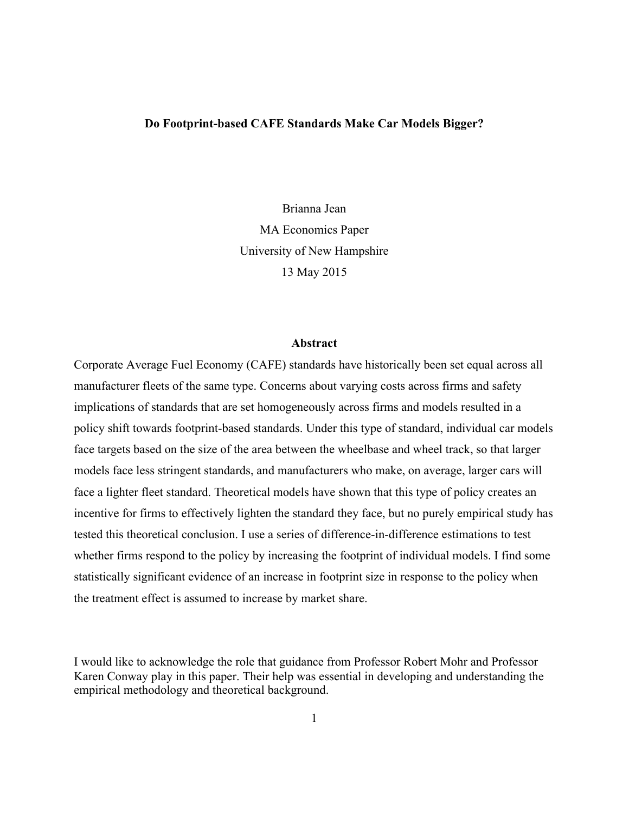#### **Do Footprint-based CAFE Standards Make Car Models Bigger?**

Brianna Jean MA Economics Paper University of New Hampshire 13 May 2015

#### **Abstract**

Corporate Average Fuel Economy (CAFE) standards have historically been set equal across all manufacturer fleets of the same type. Concerns about varying costs across firms and safety implications of standards that are set homogeneously across firms and models resulted in a policy shift towards footprint-based standards. Under this type of standard, individual car models face targets based on the size of the area between the wheelbase and wheel track, so that larger models face less stringent standards, and manufacturers who make, on average, larger cars will face a lighter fleet standard. Theoretical models have shown that this type of policy creates an incentive for firms to effectively lighten the standard they face, but no purely empirical study has tested this theoretical conclusion. I use a series of difference-in-difference estimations to test whether firms respond to the policy by increasing the footprint of individual models. I find some statistically significant evidence of an increase in footprint size in response to the policy when the treatment effect is assumed to increase by market share.

I would like to acknowledge the role that guidance from Professor Robert Mohr and Professor Karen Conway play in this paper. Their help was essential in developing and understanding the empirical methodology and theoretical background.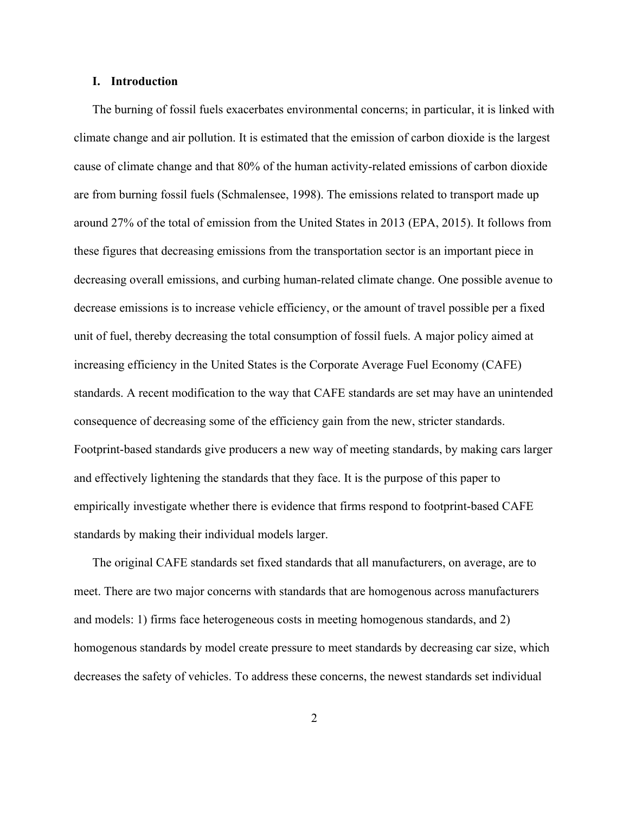#### **I. Introduction**

The burning of fossil fuels exacerbates environmental concerns; in particular, it is linked with climate change and air pollution. It is estimated that the emission of carbon dioxide is the largest cause of climate change and that 80% of the human activity-related emissions of carbon dioxide are from burning fossil fuels (Schmalensee, 1998). The emissions related to transport made up around 27% of the total of emission from the United States in 2013 (EPA, 2015). It follows from these figures that decreasing emissions from the transportation sector is an important piece in decreasing overall emissions, and curbing human-related climate change. One possible avenue to decrease emissions is to increase vehicle efficiency, or the amount of travel possible per a fixed unit of fuel, thereby decreasing the total consumption of fossil fuels. A major policy aimed at increasing efficiency in the United States is the Corporate Average Fuel Economy (CAFE) standards. A recent modification to the way that CAFE standards are set may have an unintended consequence of decreasing some of the efficiency gain from the new, stricter standards. Footprint-based standards give producers a new way of meeting standards, by making cars larger and effectively lightening the standards that they face. It is the purpose of this paper to empirically investigate whether there is evidence that firms respond to footprint-based CAFE standards by making their individual models larger.

The original CAFE standards set fixed standards that all manufacturers, on average, are to meet. There are two major concerns with standards that are homogenous across manufacturers and models: 1) firms face heterogeneous costs in meeting homogenous standards, and 2) homogenous standards by model create pressure to meet standards by decreasing car size, which decreases the safety of vehicles. To address these concerns, the newest standards set individual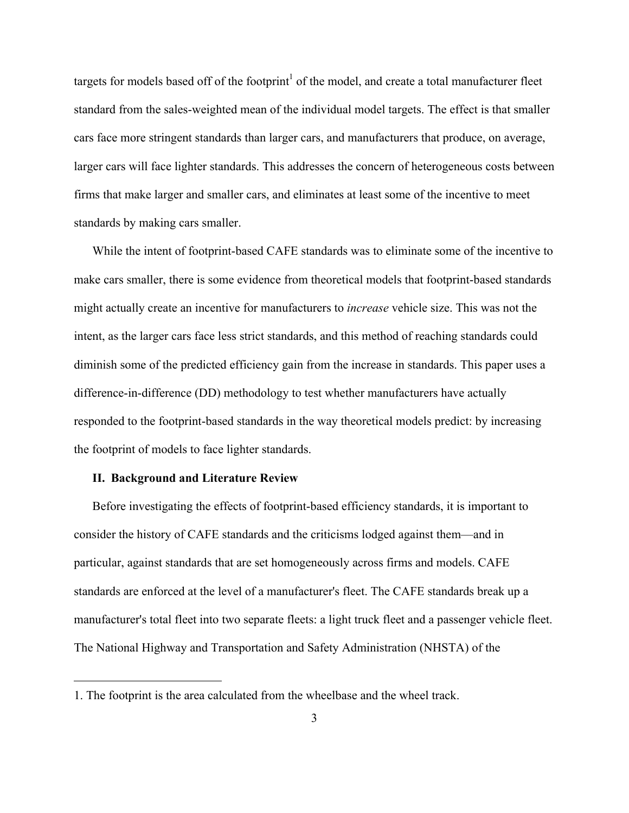targets for models based off of the footprint<sup>1</sup> of the model, and create a total manufacturer fleet standard from the sales-weighted mean of the individual model targets. The effect is that smaller cars face more stringent standards than larger cars, and manufacturers that produce, on average, larger cars will face lighter standards. This addresses the concern of heterogeneous costs between firms that make larger and smaller cars, and eliminates at least some of the incentive to meet standards by making cars smaller.

While the intent of footprint-based CAFE standards was to eliminate some of the incentive to make cars smaller, there is some evidence from theoretical models that footprint-based standards might actually create an incentive for manufacturers to *increase* vehicle size. This was not the intent, as the larger cars face less strict standards, and this method of reaching standards could diminish some of the predicted efficiency gain from the increase in standards. This paper uses a difference-in-difference (DD) methodology to test whether manufacturers have actually responded to the footprint-based standards in the way theoretical models predict: by increasing the footprint of models to face lighter standards.

#### **II. Background and Literature Review**

 

Before investigating the effects of footprint-based efficiency standards, it is important to consider the history of CAFE standards and the criticisms lodged against them—and in particular, against standards that are set homogeneously across firms and models. CAFE standards are enforced at the level of a manufacturer's fleet. The CAFE standards break up a manufacturer's total fleet into two separate fleets: a light truck fleet and a passenger vehicle fleet. The National Highway and Transportation and Safety Administration (NHSTA) of the

<sup>1.</sup> The footprint is the area calculated from the wheelbase and the wheel track.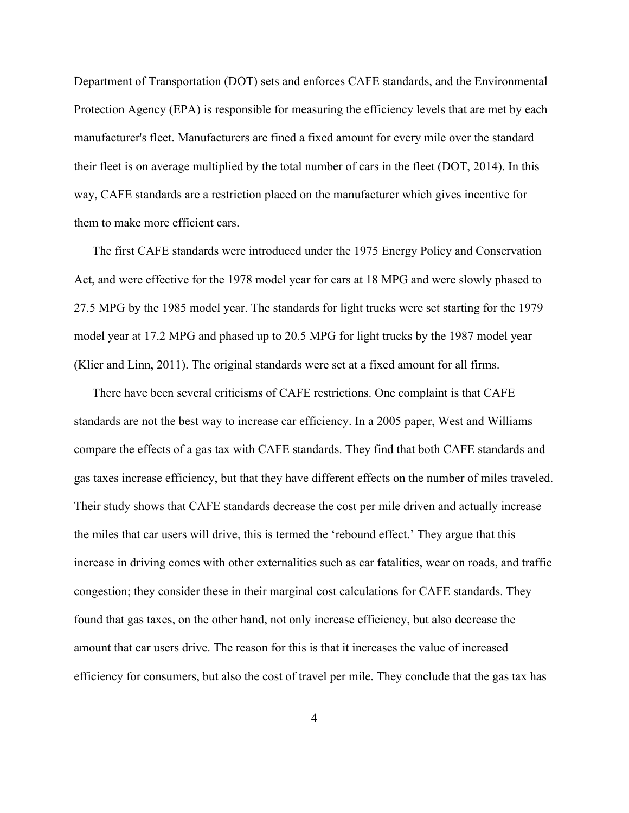Department of Transportation (DOT) sets and enforces CAFE standards, and the Environmental Protection Agency (EPA) is responsible for measuring the efficiency levels that are met by each manufacturer's fleet. Manufacturers are fined a fixed amount for every mile over the standard their fleet is on average multiplied by the total number of cars in the fleet (DOT, 2014). In this way, CAFE standards are a restriction placed on the manufacturer which gives incentive for them to make more efficient cars.

The first CAFE standards were introduced under the 1975 Energy Policy and Conservation Act, and were effective for the 1978 model year for cars at 18 MPG and were slowly phased to 27.5 MPG by the 1985 model year. The standards for light trucks were set starting for the 1979 model year at 17.2 MPG and phased up to 20.5 MPG for light trucks by the 1987 model year (Klier and Linn, 2011). The original standards were set at a fixed amount for all firms.

There have been several criticisms of CAFE restrictions. One complaint is that CAFE standards are not the best way to increase car efficiency. In a 2005 paper, West and Williams compare the effects of a gas tax with CAFE standards. They find that both CAFE standards and gas taxes increase efficiency, but that they have different effects on the number of miles traveled. Their study shows that CAFE standards decrease the cost per mile driven and actually increase the miles that car users will drive, this is termed the 'rebound effect.' They argue that this increase in driving comes with other externalities such as car fatalities, wear on roads, and traffic congestion; they consider these in their marginal cost calculations for CAFE standards. They found that gas taxes, on the other hand, not only increase efficiency, but also decrease the amount that car users drive. The reason for this is that it increases the value of increased efficiency for consumers, but also the cost of travel per mile. They conclude that the gas tax has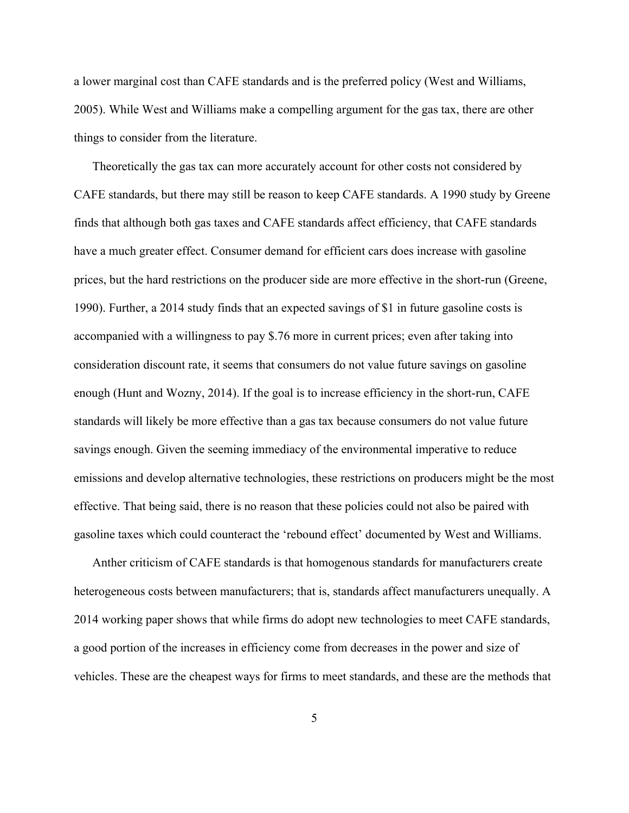a lower marginal cost than CAFE standards and is the preferred policy (West and Williams, 2005). While West and Williams make a compelling argument for the gas tax, there are other things to consider from the literature.

Theoretically the gas tax can more accurately account for other costs not considered by CAFE standards, but there may still be reason to keep CAFE standards. A 1990 study by Greene finds that although both gas taxes and CAFE standards affect efficiency, that CAFE standards have a much greater effect. Consumer demand for efficient cars does increase with gasoline prices, but the hard restrictions on the producer side are more effective in the short-run (Greene, 1990). Further, a 2014 study finds that an expected savings of \$1 in future gasoline costs is accompanied with a willingness to pay \$.76 more in current prices; even after taking into consideration discount rate, it seems that consumers do not value future savings on gasoline enough (Hunt and Wozny, 2014). If the goal is to increase efficiency in the short-run, CAFE standards will likely be more effective than a gas tax because consumers do not value future savings enough. Given the seeming immediacy of the environmental imperative to reduce emissions and develop alternative technologies, these restrictions on producers might be the most effective. That being said, there is no reason that these policies could not also be paired with gasoline taxes which could counteract the 'rebound effect' documented by West and Williams.

Anther criticism of CAFE standards is that homogenous standards for manufacturers create heterogeneous costs between manufacturers; that is, standards affect manufacturers unequally. A 2014 working paper shows that while firms do adopt new technologies to meet CAFE standards, a good portion of the increases in efficiency come from decreases in the power and size of vehicles. These are the cheapest ways for firms to meet standards, and these are the methods that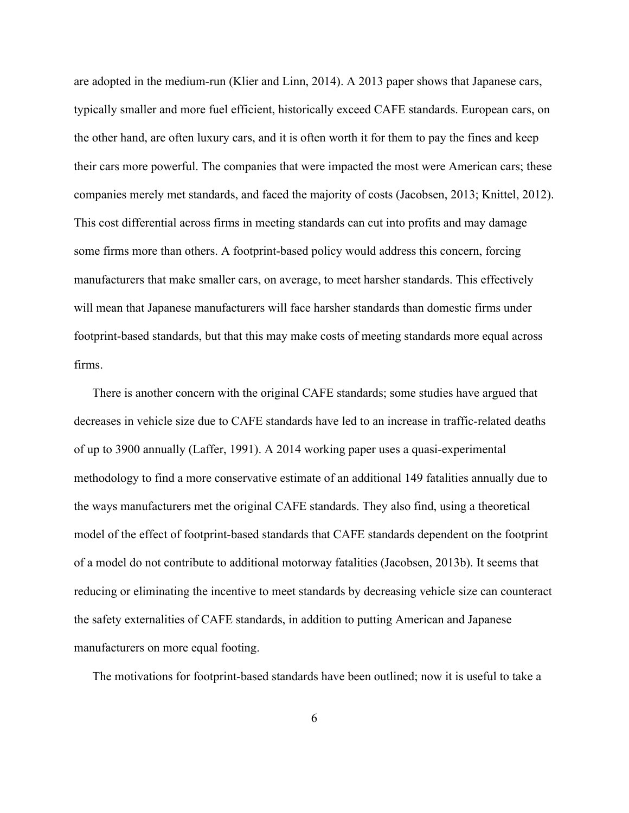are adopted in the medium-run (Klier and Linn, 2014). A 2013 paper shows that Japanese cars, typically smaller and more fuel efficient, historically exceed CAFE standards. European cars, on the other hand, are often luxury cars, and it is often worth it for them to pay the fines and keep their cars more powerful. The companies that were impacted the most were American cars; these companies merely met standards, and faced the majority of costs (Jacobsen, 2013; Knittel, 2012). This cost differential across firms in meeting standards can cut into profits and may damage some firms more than others. A footprint-based policy would address this concern, forcing manufacturers that make smaller cars, on average, to meet harsher standards. This effectively will mean that Japanese manufacturers will face harsher standards than domestic firms under footprint-based standards, but that this may make costs of meeting standards more equal across firms.

There is another concern with the original CAFE standards; some studies have argued that decreases in vehicle size due to CAFE standards have led to an increase in traffic-related deaths of up to 3900 annually (Laffer, 1991). A 2014 working paper uses a quasi-experimental methodology to find a more conservative estimate of an additional 149 fatalities annually due to the ways manufacturers met the original CAFE standards. They also find, using a theoretical model of the effect of footprint-based standards that CAFE standards dependent on the footprint of a model do not contribute to additional motorway fatalities (Jacobsen, 2013b). It seems that reducing or eliminating the incentive to meet standards by decreasing vehicle size can counteract the safety externalities of CAFE standards, in addition to putting American and Japanese manufacturers on more equal footing.

The motivations for footprint-based standards have been outlined; now it is useful to take a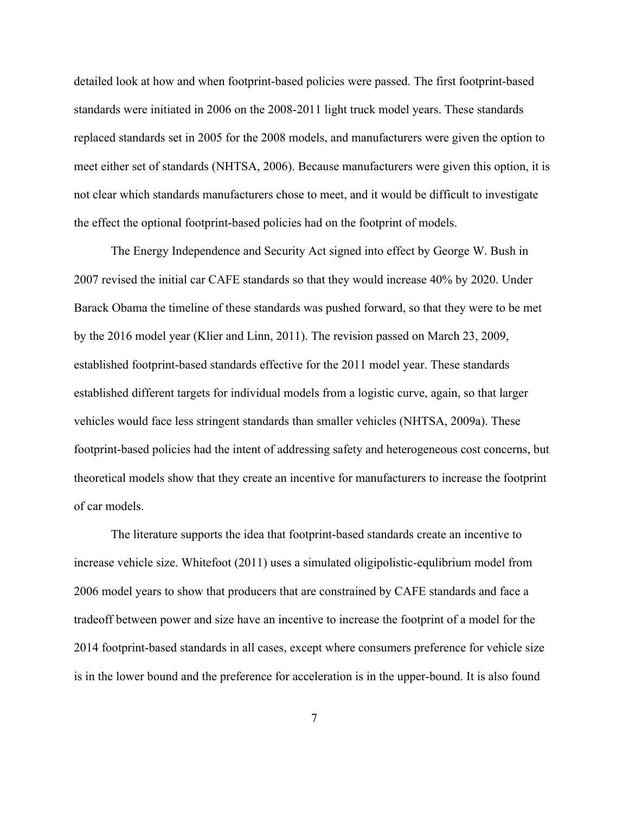detailed look at how and when footprint-based policies were passed. The first footprint-based standards were initiated in 2006 on the 2008-2011 light truck model years. These standards replaced standards set in 2005 for the 2008 models, and manufacturers were given the option to meet either set of standards (NHTSA, 2006). Because manufacturers were given this option, it is not clear which standards manufacturers chose to meet, and it would be difficult to investigate the effect the optional footprint-based policies had on the footprint of models.

The Energy Independence and Security Act signed into effect by George W. Bush in 2007 revised the initial car CAFE standards so that they would increase 40% by 2020. Under Barack Obama the timeline of these standards was pushed forward, so that they were to be met by the 2016 model year (Klier and Linn, 2011). The revision passed on March 23, 2009, established footprint-based standards effective for the 2011 model year. These standards established different targets for individual models from a logistic curve, again, so that larger vehicles would face less stringent standards than smaller vehicles (NHTSA, 2009a). These footprint-based policies had the intent of addressing safety and heterogeneous cost concerns, but theoretical models show that they create an incentive for manufacturers to increase the footprint of car models.

The literature supports the idea that footprint-based standards create an incentive to increase vehicle size. Whitefoot (2011) uses a simulated oligipolistic-equlibrium model from 2006 model years to show that producers that are constrained by CAFE standards and face a tradeoff between power and size have an incentive to increase the footprint of a model for the 2014 footprint-based standards in all cases, except where consumers preference for vehicle size is in the lower bound and the preference for acceleration is in the upper-bound. It is also found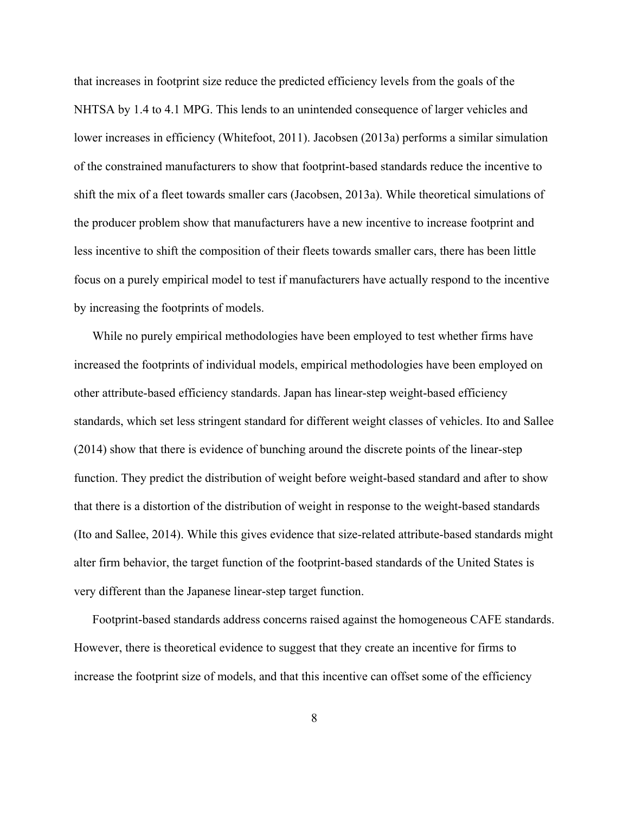that increases in footprint size reduce the predicted efficiency levels from the goals of the NHTSA by 1.4 to 4.1 MPG. This lends to an unintended consequence of larger vehicles and lower increases in efficiency (Whitefoot, 2011). Jacobsen (2013a) performs a similar simulation of the constrained manufacturers to show that footprint-based standards reduce the incentive to shift the mix of a fleet towards smaller cars (Jacobsen, 2013a). While theoretical simulations of the producer problem show that manufacturers have a new incentive to increase footprint and less incentive to shift the composition of their fleets towards smaller cars, there has been little focus on a purely empirical model to test if manufacturers have actually respond to the incentive by increasing the footprints of models.

While no purely empirical methodologies have been employed to test whether firms have increased the footprints of individual models, empirical methodologies have been employed on other attribute-based efficiency standards. Japan has linear-step weight-based efficiency standards, which set less stringent standard for different weight classes of vehicles. Ito and Sallee (2014) show that there is evidence of bunching around the discrete points of the linear-step function. They predict the distribution of weight before weight-based standard and after to show that there is a distortion of the distribution of weight in response to the weight-based standards (Ito and Sallee, 2014). While this gives evidence that size-related attribute-based standards might alter firm behavior, the target function of the footprint-based standards of the United States is very different than the Japanese linear-step target function.

Footprint-based standards address concerns raised against the homogeneous CAFE standards. However, there is theoretical evidence to suggest that they create an incentive for firms to increase the footprint size of models, and that this incentive can offset some of the efficiency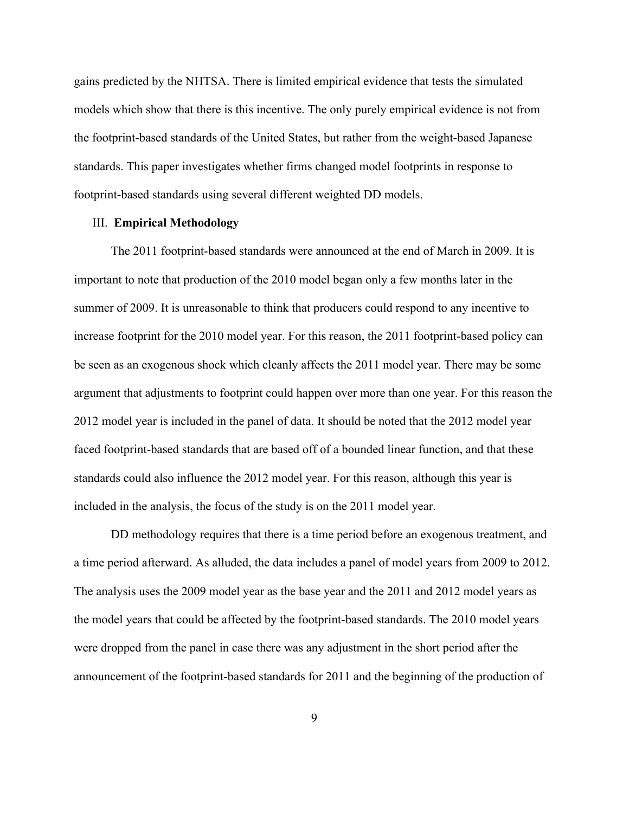gains predicted by the NHTSA. There is limited empirical evidence that tests the simulated models which show that there is this incentive. The only purely empirical evidence is not from the footprint-based standards of the United States, but rather from the weight-based Japanese standards. This paper investigates whether firms changed model footprints in response to footprint-based standards using several different weighted DD models.

### III. **Empirical Methodology**

The 2011 footprint-based standards were announced at the end of March in 2009. It is important to note that production of the 2010 model began only a few months later in the summer of 2009. It is unreasonable to think that producers could respond to any incentive to increase footprint for the 2010 model year. For this reason, the 2011 footprint-based policy can be seen as an exogenous shock which cleanly affects the 2011 model year. There may be some argument that adjustments to footprint could happen over more than one year. For this reason the 2012 model year is included in the panel of data. It should be noted that the 2012 model year faced footprint-based standards that are based off of a bounded linear function, and that these standards could also influence the 2012 model year. For this reason, although this year is included in the analysis, the focus of the study is on the 2011 model year.

DD methodology requires that there is a time period before an exogenous treatment, and a time period afterward. As alluded, the data includes a panel of model years from 2009 to 2012. The analysis uses the 2009 model year as the base year and the 2011 and 2012 model years as the model years that could be affected by the footprint-based standards. The 2010 model years were dropped from the panel in case there was any adjustment in the short period after the announcement of the footprint-based standards for 2011 and the beginning of the production of

9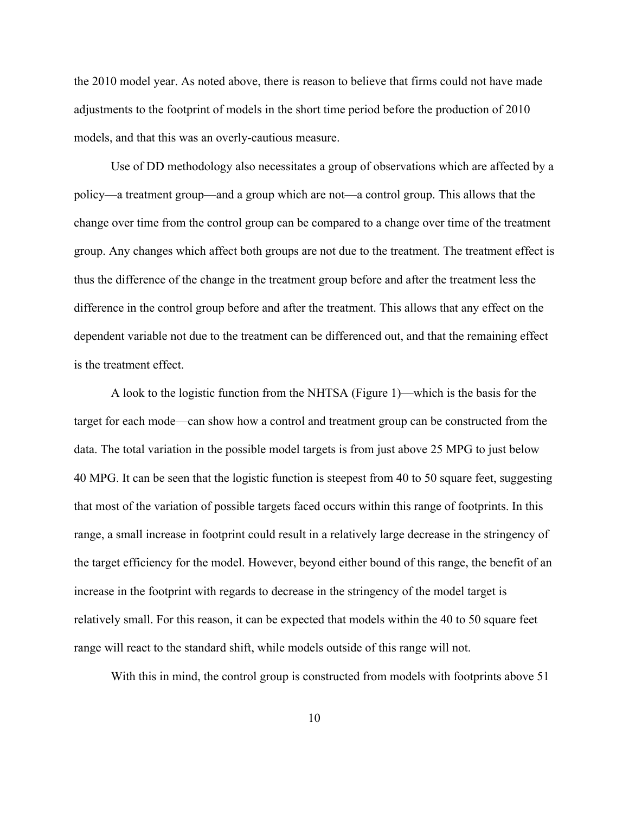the 2010 model year. As noted above, there is reason to believe that firms could not have made adjustments to the footprint of models in the short time period before the production of 2010 models, and that this was an overly-cautious measure.

Use of DD methodology also necessitates a group of observations which are affected by a policy—a treatment group—and a group which are not—a control group. This allows that the change over time from the control group can be compared to a change over time of the treatment group. Any changes which affect both groups are not due to the treatment. The treatment effect is thus the difference of the change in the treatment group before and after the treatment less the difference in the control group before and after the treatment. This allows that any effect on the dependent variable not due to the treatment can be differenced out, and that the remaining effect is the treatment effect.

A look to the logistic function from the NHTSA (Figure 1)—which is the basis for the target for each mode—can show how a control and treatment group can be constructed from the data. The total variation in the possible model targets is from just above 25 MPG to just below 40 MPG. It can be seen that the logistic function is steepest from 40 to 50 square feet, suggesting that most of the variation of possible targets faced occurs within this range of footprints. In this range, a small increase in footprint could result in a relatively large decrease in the stringency of the target efficiency for the model. However, beyond either bound of this range, the benefit of an increase in the footprint with regards to decrease in the stringency of the model target is relatively small. For this reason, it can be expected that models within the 40 to 50 square feet range will react to the standard shift, while models outside of this range will not.

With this in mind, the control group is constructed from models with footprints above 51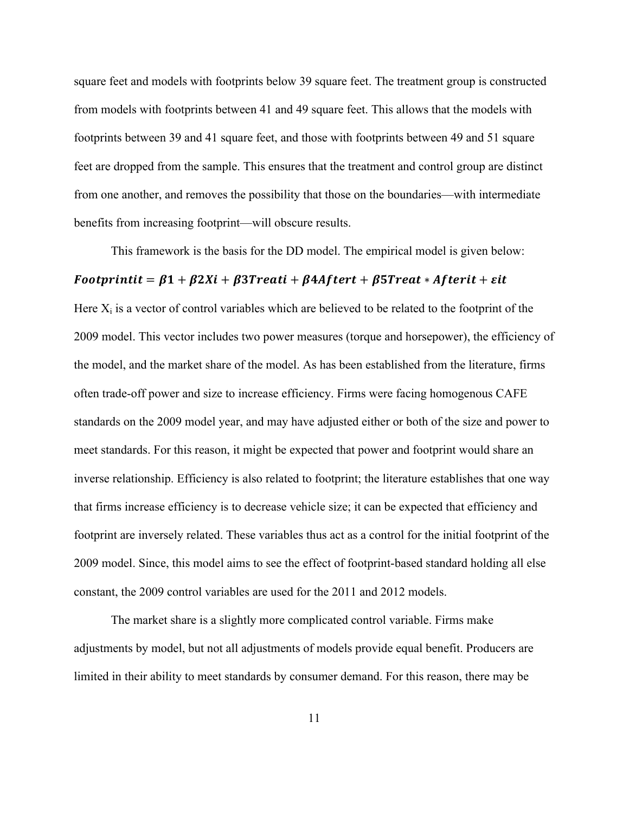square feet and models with footprints below 39 square feet. The treatment group is constructed from models with footprints between 41 and 49 square feet. This allows that the models with footprints between 39 and 41 square feet, and those with footprints between 49 and 51 square feet are dropped from the sample. This ensures that the treatment and control group are distinct from one another, and removes the possibility that those on the boundaries—with intermediate benefits from increasing footprint—will obscure results.

This framework is the basis for the DD model. The empirical model is given below:

### $\delta$  Footprintit =  $\beta$ 1 +  $\beta$ 2Xi +  $\beta$ 3Treati +  $\beta$ 4Aftert +  $\beta$ 5Treat \* Afterit +  $\epsilon$ it

Here  $X_i$  is a vector of control variables which are believed to be related to the footprint of the 2009 model. This vector includes two power measures (torque and horsepower), the efficiency of the model, and the market share of the model. As has been established from the literature, firms often trade-off power and size to increase efficiency. Firms were facing homogenous CAFE standards on the 2009 model year, and may have adjusted either or both of the size and power to meet standards. For this reason, it might be expected that power and footprint would share an inverse relationship. Efficiency is also related to footprint; the literature establishes that one way that firms increase efficiency is to decrease vehicle size; it can be expected that efficiency and footprint are inversely related. These variables thus act as a control for the initial footprint of the 2009 model. Since, this model aims to see the effect of footprint-based standard holding all else constant, the 2009 control variables are used for the 2011 and 2012 models.

The market share is a slightly more complicated control variable. Firms make adjustments by model, but not all adjustments of models provide equal benefit. Producers are limited in their ability to meet standards by consumer demand. For this reason, there may be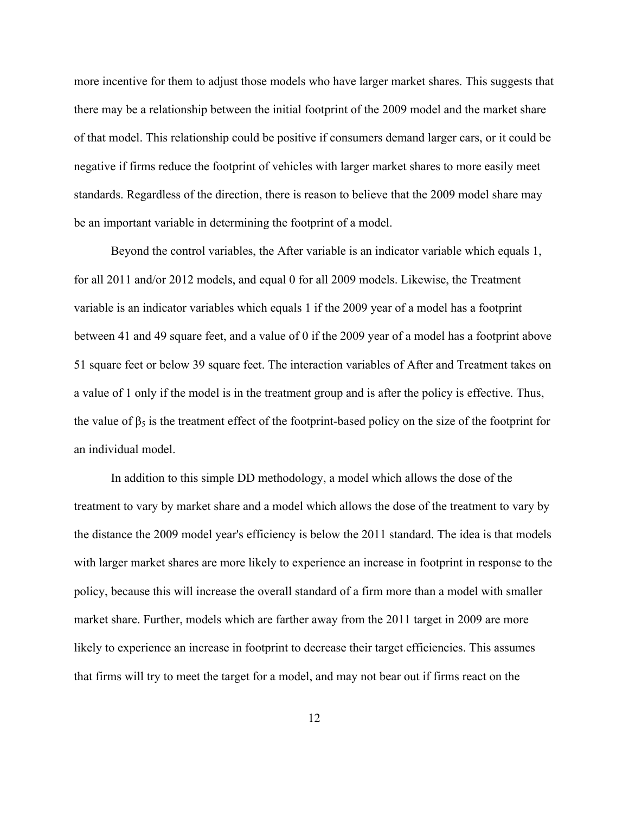more incentive for them to adjust those models who have larger market shares. This suggests that there may be a relationship between the initial footprint of the 2009 model and the market share of that model. This relationship could be positive if consumers demand larger cars, or it could be negative if firms reduce the footprint of vehicles with larger market shares to more easily meet standards. Regardless of the direction, there is reason to believe that the 2009 model share may be an important variable in determining the footprint of a model.

Beyond the control variables, the After variable is an indicator variable which equals 1, for all 2011 and/or 2012 models, and equal 0 for all 2009 models. Likewise, the Treatment variable is an indicator variables which equals 1 if the 2009 year of a model has a footprint between 41 and 49 square feet, and a value of 0 if the 2009 year of a model has a footprint above 51 square feet or below 39 square feet. The interaction variables of After and Treatment takes on a value of 1 only if the model is in the treatment group and is after the policy is effective. Thus, the value of  $\beta_5$  is the treatment effect of the footprint-based policy on the size of the footprint for an individual model.

In addition to this simple DD methodology, a model which allows the dose of the treatment to vary by market share and a model which allows the dose of the treatment to vary by the distance the 2009 model year's efficiency is below the 2011 standard. The idea is that models with larger market shares are more likely to experience an increase in footprint in response to the policy, because this will increase the overall standard of a firm more than a model with smaller market share. Further, models which are farther away from the 2011 target in 2009 are more likely to experience an increase in footprint to decrease their target efficiencies. This assumes that firms will try to meet the target for a model, and may not bear out if firms react on the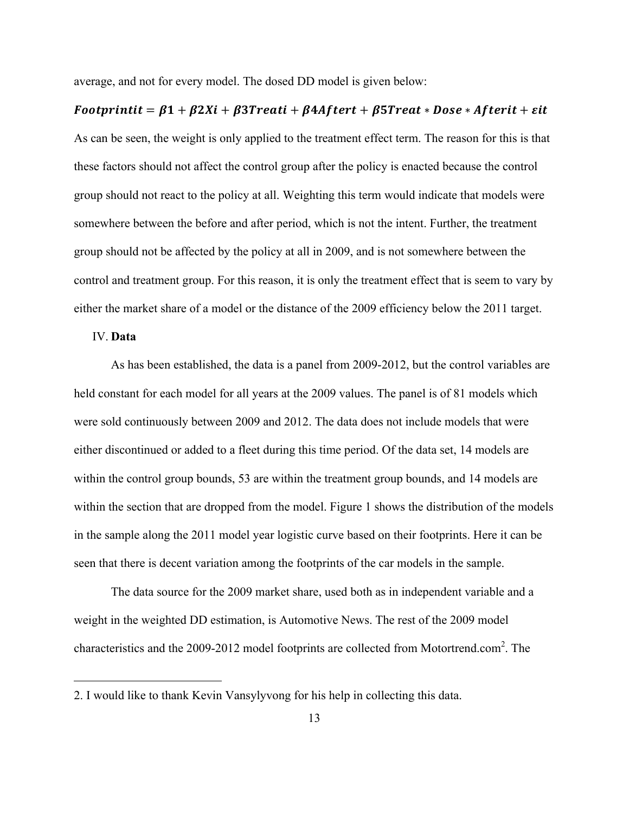average, and not for every model. The dosed DD model is given below:

## $\textit{Footprintit} = \beta 1 + \beta 2Xi + \beta 3T \text{reati} + \beta 4A \text{ftert} + \beta 5T \text{reat} * \text{Dose} * A \text{fterit} + \text{sit}$

As can be seen, the weight is only applied to the treatment effect term. The reason for this is that these factors should not affect the control group after the policy is enacted because the control group should not react to the policy at all. Weighting this term would indicate that models were somewhere between the before and after period, which is not the intent. Further, the treatment group should not be affected by the policy at all in 2009, and is not somewhere between the control and treatment group. For this reason, it is only the treatment effect that is seem to vary by either the market share of a model or the distance of the 2009 efficiency below the 2011 target.

#### IV. **Data**

 

As has been established, the data is a panel from 2009-2012, but the control variables are held constant for each model for all years at the 2009 values. The panel is of 81 models which were sold continuously between 2009 and 2012. The data does not include models that were either discontinued or added to a fleet during this time period. Of the data set, 14 models are within the control group bounds, 53 are within the treatment group bounds, and 14 models are within the section that are dropped from the model. Figure 1 shows the distribution of the models in the sample along the 2011 model year logistic curve based on their footprints. Here it can be seen that there is decent variation among the footprints of the car models in the sample.

The data source for the 2009 market share, used both as in independent variable and a weight in the weighted DD estimation, is Automotive News. The rest of the 2009 model characteristics and the 2009-2012 model footprints are collected from Motortrend.com<sup>2</sup>. The

<sup>2.</sup> I would like to thank Kevin Vansylyvong for his help in collecting this data.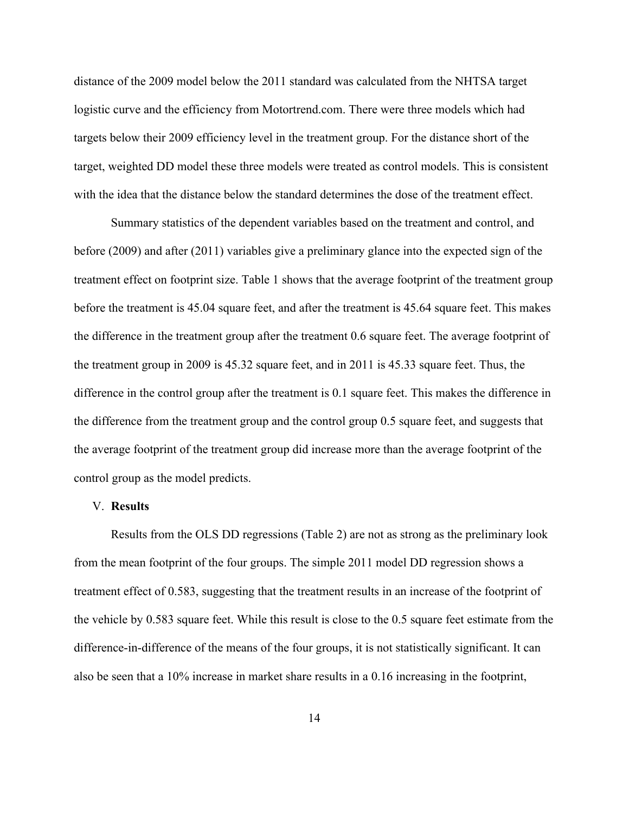distance of the 2009 model below the 2011 standard was calculated from the NHTSA target logistic curve and the efficiency from Motortrend.com. There were three models which had targets below their 2009 efficiency level in the treatment group. For the distance short of the target, weighted DD model these three models were treated as control models. This is consistent with the idea that the distance below the standard determines the dose of the treatment effect.

Summary statistics of the dependent variables based on the treatment and control, and before (2009) and after (2011) variables give a preliminary glance into the expected sign of the treatment effect on footprint size. Table 1 shows that the average footprint of the treatment group before the treatment is 45.04 square feet, and after the treatment is 45.64 square feet. This makes the difference in the treatment group after the treatment 0.6 square feet. The average footprint of the treatment group in 2009 is 45.32 square feet, and in 2011 is 45.33 square feet. Thus, the difference in the control group after the treatment is 0.1 square feet. This makes the difference in the difference from the treatment group and the control group 0.5 square feet, and suggests that the average footprint of the treatment group did increase more than the average footprint of the control group as the model predicts.

#### V. **Results**

Results from the OLS DD regressions (Table 2) are not as strong as the preliminary look from the mean footprint of the four groups. The simple 2011 model DD regression shows a treatment effect of 0.583, suggesting that the treatment results in an increase of the footprint of the vehicle by 0.583 square feet. While this result is close to the 0.5 square feet estimate from the difference-in-difference of the means of the four groups, it is not statistically significant. It can also be seen that a 10% increase in market share results in a 0.16 increasing in the footprint,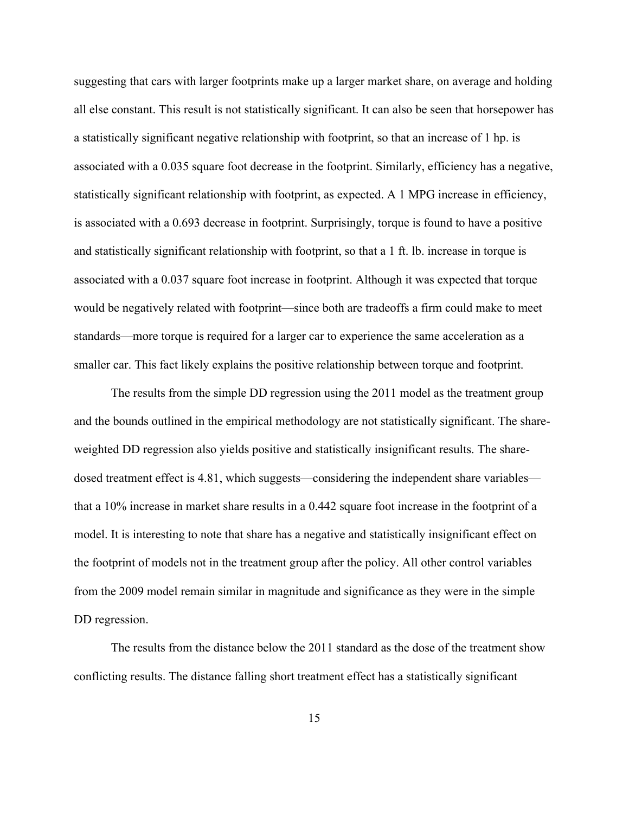suggesting that cars with larger footprints make up a larger market share, on average and holding all else constant. This result is not statistically significant. It can also be seen that horsepower has a statistically significant negative relationship with footprint, so that an increase of 1 hp. is associated with a 0.035 square foot decrease in the footprint. Similarly, efficiency has a negative, statistically significant relationship with footprint, as expected. A 1 MPG increase in efficiency, is associated with a 0.693 decrease in footprint. Surprisingly, torque is found to have a positive and statistically significant relationship with footprint, so that a 1 ft. lb. increase in torque is associated with a 0.037 square foot increase in footprint. Although it was expected that torque would be negatively related with footprint—since both are tradeoffs a firm could make to meet standards—more torque is required for a larger car to experience the same acceleration as a smaller car. This fact likely explains the positive relationship between torque and footprint.

The results from the simple DD regression using the 2011 model as the treatment group and the bounds outlined in the empirical methodology are not statistically significant. The shareweighted DD regression also yields positive and statistically insignificant results. The sharedosed treatment effect is 4.81, which suggests—considering the independent share variables that a 10% increase in market share results in a 0.442 square foot increase in the footprint of a model. It is interesting to note that share has a negative and statistically insignificant effect on the footprint of models not in the treatment group after the policy. All other control variables from the 2009 model remain similar in magnitude and significance as they were in the simple DD regression.

The results from the distance below the 2011 standard as the dose of the treatment show conflicting results. The distance falling short treatment effect has a statistically significant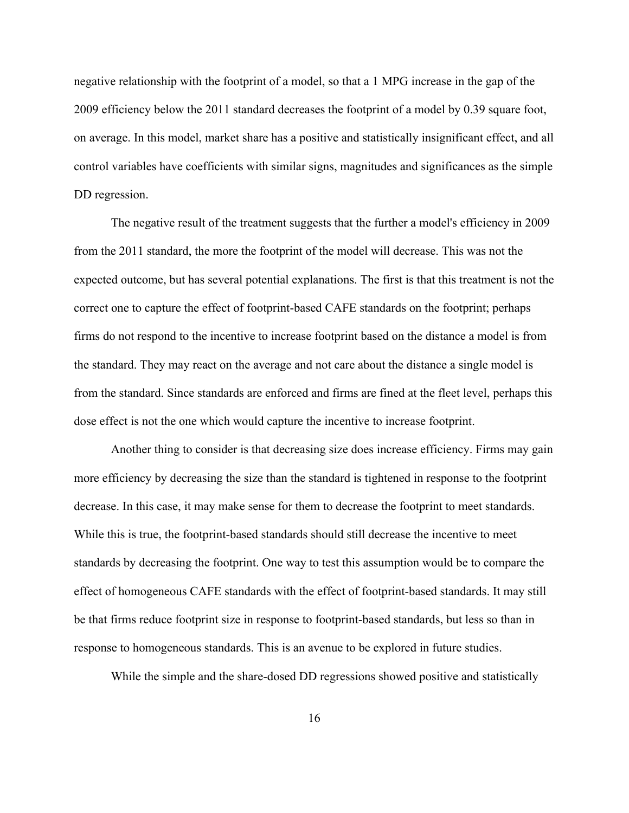negative relationship with the footprint of a model, so that a 1 MPG increase in the gap of the 2009 efficiency below the 2011 standard decreases the footprint of a model by 0.39 square foot, on average. In this model, market share has a positive and statistically insignificant effect, and all control variables have coefficients with similar signs, magnitudes and significances as the simple DD regression.

The negative result of the treatment suggests that the further a model's efficiency in 2009 from the 2011 standard, the more the footprint of the model will decrease. This was not the expected outcome, but has several potential explanations. The first is that this treatment is not the correct one to capture the effect of footprint-based CAFE standards on the footprint; perhaps firms do not respond to the incentive to increase footprint based on the distance a model is from the standard. They may react on the average and not care about the distance a single model is from the standard. Since standards are enforced and firms are fined at the fleet level, perhaps this dose effect is not the one which would capture the incentive to increase footprint.

Another thing to consider is that decreasing size does increase efficiency. Firms may gain more efficiency by decreasing the size than the standard is tightened in response to the footprint decrease. In this case, it may make sense for them to decrease the footprint to meet standards. While this is true, the footprint-based standards should still decrease the incentive to meet standards by decreasing the footprint. One way to test this assumption would be to compare the effect of homogeneous CAFE standards with the effect of footprint-based standards. It may still be that firms reduce footprint size in response to footprint-based standards, but less so than in response to homogeneous standards. This is an avenue to be explored in future studies.

While the simple and the share-dosed DD regressions showed positive and statistically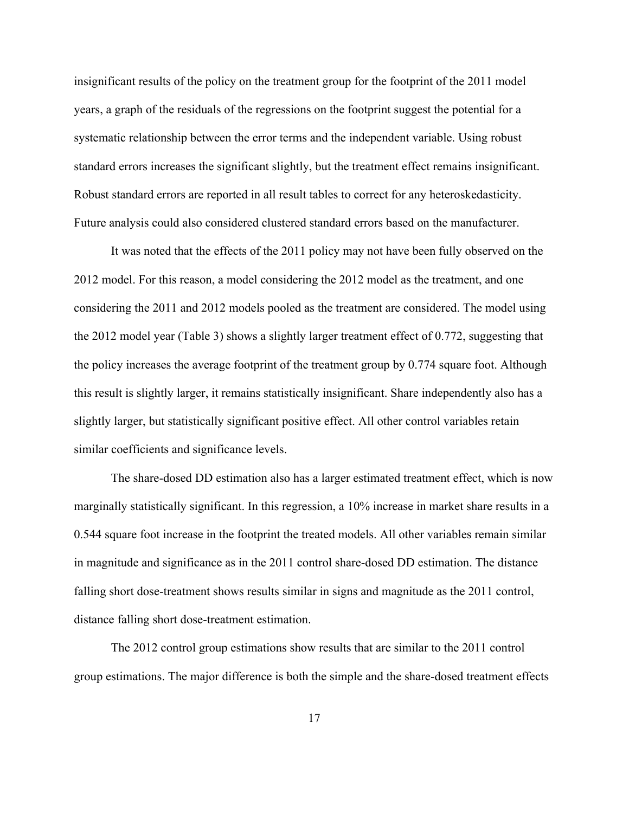insignificant results of the policy on the treatment group for the footprint of the 2011 model years, a graph of the residuals of the regressions on the footprint suggest the potential for a systematic relationship between the error terms and the independent variable. Using robust standard errors increases the significant slightly, but the treatment effect remains insignificant. Robust standard errors are reported in all result tables to correct for any heteroskedasticity. Future analysis could also considered clustered standard errors based on the manufacturer.

It was noted that the effects of the 2011 policy may not have been fully observed on the 2012 model. For this reason, a model considering the 2012 model as the treatment, and one considering the 2011 and 2012 models pooled as the treatment are considered. The model using the 2012 model year (Table 3) shows a slightly larger treatment effect of 0.772, suggesting that the policy increases the average footprint of the treatment group by 0.774 square foot. Although this result is slightly larger, it remains statistically insignificant. Share independently also has a slightly larger, but statistically significant positive effect. All other control variables retain similar coefficients and significance levels.

The share-dosed DD estimation also has a larger estimated treatment effect, which is now marginally statistically significant. In this regression, a 10% increase in market share results in a 0.544 square foot increase in the footprint the treated models. All other variables remain similar in magnitude and significance as in the 2011 control share-dosed DD estimation. The distance falling short dose-treatment shows results similar in signs and magnitude as the 2011 control, distance falling short dose-treatment estimation.

The 2012 control group estimations show results that are similar to the 2011 control group estimations. The major difference is both the simple and the share-dosed treatment effects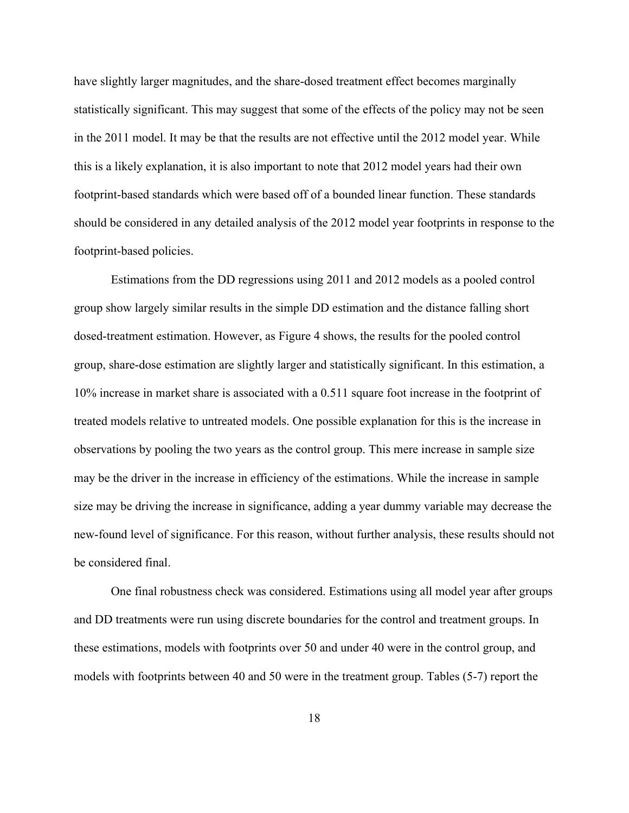have slightly larger magnitudes, and the share-dosed treatment effect becomes marginally statistically significant. This may suggest that some of the effects of the policy may not be seen in the 2011 model. It may be that the results are not effective until the 2012 model year. While this is a likely explanation, it is also important to note that 2012 model years had their own footprint-based standards which were based off of a bounded linear function. These standards should be considered in any detailed analysis of the 2012 model year footprints in response to the footprint-based policies.

Estimations from the DD regressions using 2011 and 2012 models as a pooled control group show largely similar results in the simple DD estimation and the distance falling short dosed-treatment estimation. However, as Figure 4 shows, the results for the pooled control group, share-dose estimation are slightly larger and statistically significant. In this estimation, a 10% increase in market share is associated with a 0.511 square foot increase in the footprint of treated models relative to untreated models. One possible explanation for this is the increase in observations by pooling the two years as the control group. This mere increase in sample size may be the driver in the increase in efficiency of the estimations. While the increase in sample size may be driving the increase in significance, adding a year dummy variable may decrease the new-found level of significance. For this reason, without further analysis, these results should not be considered final.

One final robustness check was considered. Estimations using all model year after groups and DD treatments were run using discrete boundaries for the control and treatment groups. In these estimations, models with footprints over 50 and under 40 were in the control group, and models with footprints between 40 and 50 were in the treatment group. Tables (5-7) report the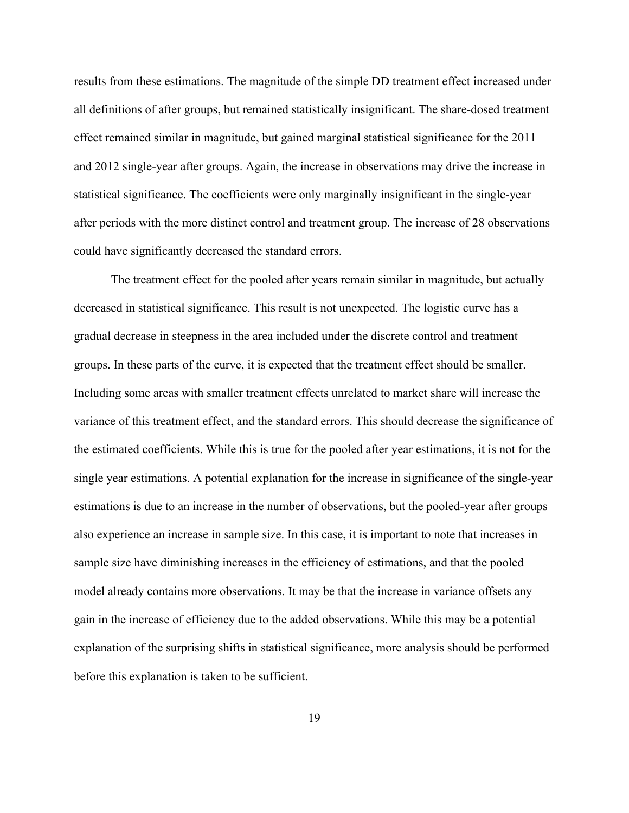results from these estimations. The magnitude of the simple DD treatment effect increased under all definitions of after groups, but remained statistically insignificant. The share-dosed treatment effect remained similar in magnitude, but gained marginal statistical significance for the 2011 and 2012 single-year after groups. Again, the increase in observations may drive the increase in statistical significance. The coefficients were only marginally insignificant in the single-year after periods with the more distinct control and treatment group. The increase of 28 observations could have significantly decreased the standard errors.

The treatment effect for the pooled after years remain similar in magnitude, but actually decreased in statistical significance. This result is not unexpected. The logistic curve has a gradual decrease in steepness in the area included under the discrete control and treatment groups. In these parts of the curve, it is expected that the treatment effect should be smaller. Including some areas with smaller treatment effects unrelated to market share will increase the variance of this treatment effect, and the standard errors. This should decrease the significance of the estimated coefficients. While this is true for the pooled after year estimations, it is not for the single year estimations. A potential explanation for the increase in significance of the single-year estimations is due to an increase in the number of observations, but the pooled-year after groups also experience an increase in sample size. In this case, it is important to note that increases in sample size have diminishing increases in the efficiency of estimations, and that the pooled model already contains more observations. It may be that the increase in variance offsets any gain in the increase of efficiency due to the added observations. While this may be a potential explanation of the surprising shifts in statistical significance, more analysis should be performed before this explanation is taken to be sufficient.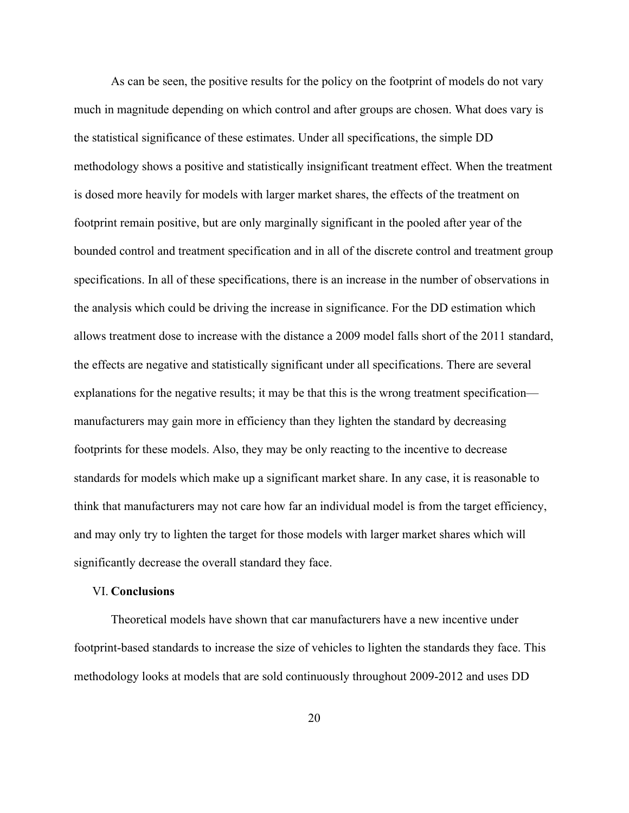As can be seen, the positive results for the policy on the footprint of models do not vary much in magnitude depending on which control and after groups are chosen. What does vary is the statistical significance of these estimates. Under all specifications, the simple DD methodology shows a positive and statistically insignificant treatment effect. When the treatment is dosed more heavily for models with larger market shares, the effects of the treatment on footprint remain positive, but are only marginally significant in the pooled after year of the bounded control and treatment specification and in all of the discrete control and treatment group specifications. In all of these specifications, there is an increase in the number of observations in the analysis which could be driving the increase in significance. For the DD estimation which allows treatment dose to increase with the distance a 2009 model falls short of the 2011 standard, the effects are negative and statistically significant under all specifications. There are several explanations for the negative results; it may be that this is the wrong treatment specification manufacturers may gain more in efficiency than they lighten the standard by decreasing footprints for these models. Also, they may be only reacting to the incentive to decrease standards for models which make up a significant market share. In any case, it is reasonable to think that manufacturers may not care how far an individual model is from the target efficiency, and may only try to lighten the target for those models with larger market shares which will significantly decrease the overall standard they face.

#### VI. **Conclusions**

Theoretical models have shown that car manufacturers have a new incentive under footprint-based standards to increase the size of vehicles to lighten the standards they face. This methodology looks at models that are sold continuously throughout 2009-2012 and uses DD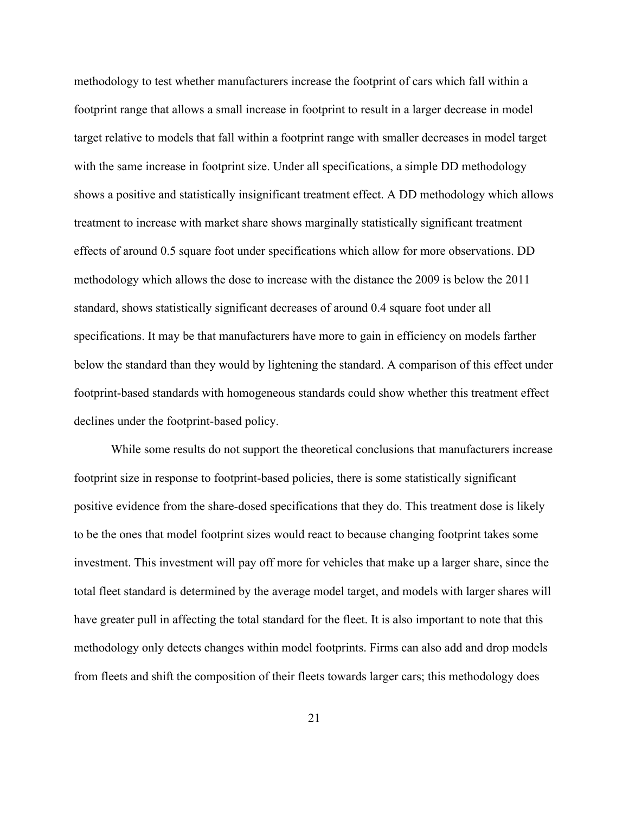methodology to test whether manufacturers increase the footprint of cars which fall within a footprint range that allows a small increase in footprint to result in a larger decrease in model target relative to models that fall within a footprint range with smaller decreases in model target with the same increase in footprint size. Under all specifications, a simple DD methodology shows a positive and statistically insignificant treatment effect. A DD methodology which allows treatment to increase with market share shows marginally statistically significant treatment effects of around 0.5 square foot under specifications which allow for more observations. DD methodology which allows the dose to increase with the distance the 2009 is below the 2011 standard, shows statistically significant decreases of around 0.4 square foot under all specifications. It may be that manufacturers have more to gain in efficiency on models farther below the standard than they would by lightening the standard. A comparison of this effect under footprint-based standards with homogeneous standards could show whether this treatment effect declines under the footprint-based policy.

While some results do not support the theoretical conclusions that manufacturers increase footprint size in response to footprint-based policies, there is some statistically significant positive evidence from the share-dosed specifications that they do. This treatment dose is likely to be the ones that model footprint sizes would react to because changing footprint takes some investment. This investment will pay off more for vehicles that make up a larger share, since the total fleet standard is determined by the average model target, and models with larger shares will have greater pull in affecting the total standard for the fleet. It is also important to note that this methodology only detects changes within model footprints. Firms can also add and drop models from fleets and shift the composition of their fleets towards larger cars; this methodology does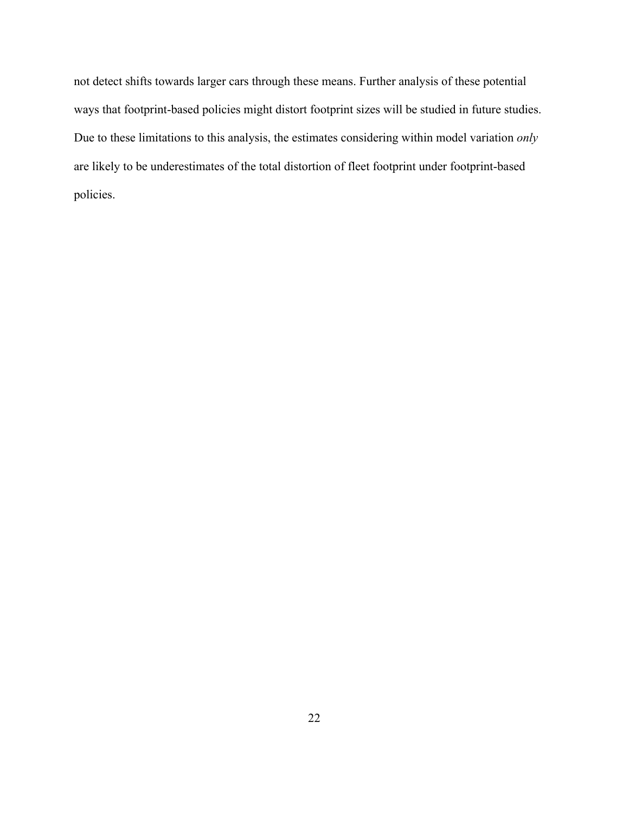not detect shifts towards larger cars through these means. Further analysis of these potential ways that footprint-based policies might distort footprint sizes will be studied in future studies. Due to these limitations to this analysis, the estimates considering within model variation *only* are likely to be underestimates of the total distortion of fleet footprint under footprint-based policies.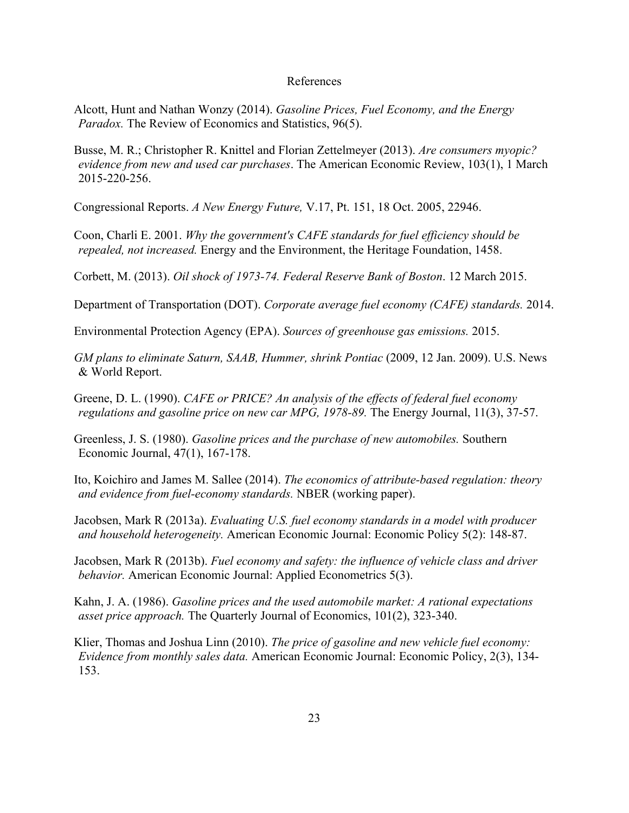#### References

Alcott, Hunt and Nathan Wonzy (2014). *Gasoline Prices, Fuel Economy, and the Energy Paradox.* The Review of Economics and Statistics, 96(5).

Busse, M. R.; Christopher R. Knittel and Florian Zettelmeyer (2013). *Are consumers myopic? evidence from new and used car purchases*. The American Economic Review, 103(1), 1 March 2015-220-256.

Congressional Reports. *A New Energy Future,* V.17, Pt. 151, 18 Oct. 2005, 22946.

Coon, Charli E. 2001. *Why the government's CAFE standards for fuel efficiency should be repealed, not increased.* Energy and the Environment, the Heritage Foundation, 1458.

Corbett, M. (2013). *Oil shock of 1973-74. Federal Reserve Bank of Boston*. 12 March 2015.

Department of Transportation (DOT). *Corporate average fuel economy (CAFE) standards.* 2014.

Environmental Protection Agency (EPA). *Sources of greenhouse gas emissions.* 2015.

*GM plans to eliminate Saturn, SAAB, Hummer, shrink Pontiac* (2009, 12 Jan. 2009). U.S. News & World Report.

Greene, D. L. (1990). *CAFE or PRICE? An analysis of the effects of federal fuel economy regulations and gasoline price on new car MPG, 1978-89.* The Energy Journal, 11(3), 37-57.

Greenless, J. S. (1980). *Gasoline prices and the purchase of new automobiles.* Southern Economic Journal, 47(1), 167-178.

Ito, Koichiro and James M. Sallee (2014). *The economics of attribute-based regulation: theory and evidence from fuel-economy standards.* NBER (working paper).

Jacobsen, Mark R (2013a). *Evaluating U.S. fuel economy standards in a model with producer and household heterogeneity.* American Economic Journal: Economic Policy 5(2): 148-87.

Jacobsen, Mark R (2013b). *Fuel economy and safety: the influence of vehicle class and driver behavior.* American Economic Journal: Applied Econometrics 5(3).

Kahn, J. A. (1986). *Gasoline prices and the used automobile market: A rational expectations asset price approach.* The Quarterly Journal of Economics, 101(2), 323-340.

Klier, Thomas and Joshua Linn (2010). *The price of gasoline and new vehicle fuel economy: Evidence from monthly sales data.* American Economic Journal: Economic Policy, 2(3), 134- 153.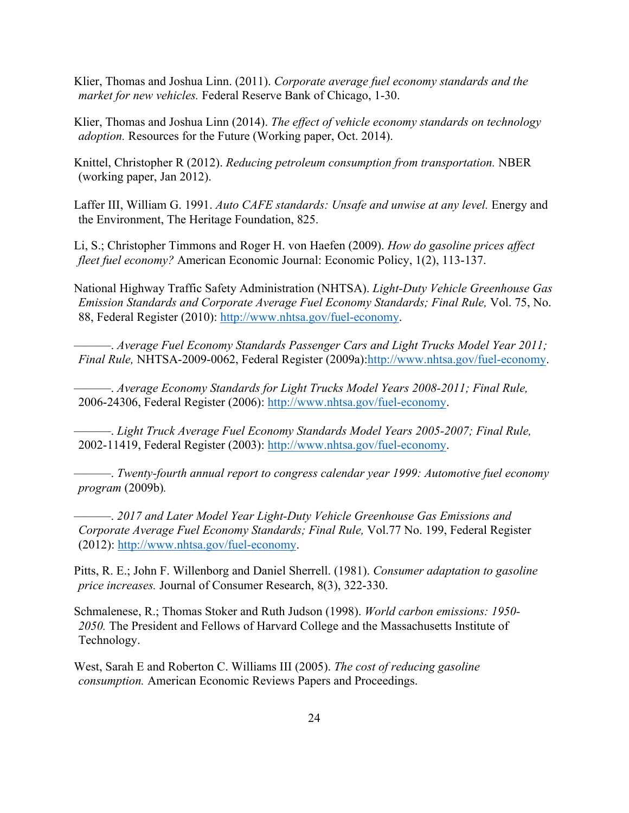Klier, Thomas and Joshua Linn. (2011). *Corporate average fuel economy standards and the market for new vehicles.* Federal Reserve Bank of Chicago, 1-30.

Klier, Thomas and Joshua Linn (2014). *The effect of vehicle economy standards on technology adoption.* Resources for the Future (Working paper, Oct. 2014).

Knittel, Christopher R (2012). *Reducing petroleum consumption from transportation.* NBER (working paper, Jan 2012).

Laffer III, William G. 1991. *Auto CAFE standards: Unsafe and unwise at any level.* Energy and the Environment, The Heritage Foundation, 825.

Li, S.; Christopher Timmons and Roger H. von Haefen (2009). *How do gasoline prices affect fleet fuel economy?* American Economic Journal: Economic Policy, 1(2), 113-137.

National Highway Traffic Safety Administration (NHTSA). *Light-Duty Vehicle Greenhouse Gas Emission Standards and Corporate Average Fuel Economy Standards; Final Rule,* Vol. 75, No. 88, Federal Register (2010): http://www.nhtsa.gov/fuel-economy.

———. *Average Fuel Economy Standards Passenger Cars and Light Trucks Model Year 2011; Final Rule,* NHTSA-2009-0062, Federal Register (2009a):http://www.nhtsa.gov/fuel-economy.

———. *Average Economy Standards for Light Trucks Model Years 2008-2011; Final Rule,* 2006-24306, Federal Register (2006): http://www.nhtsa.gov/fuel-economy.

———. *Light Truck Average Fuel Economy Standards Model Years 2005-2007; Final Rule,* 2002-11419, Federal Register (2003): http://www.nhtsa.gov/fuel-economy.

———. *Twenty-fourth annual report to congress calendar year 1999: Automotive fuel economy program* (2009b)*.*

———. *2017 and Later Model Year Light-Duty Vehicle Greenhouse Gas Emissions and Corporate Average Fuel Economy Standards; Final Rule,* Vol.77 No. 199, Federal Register (2012): http://www.nhtsa.gov/fuel-economy.

Pitts, R. E.; John F. Willenborg and Daniel Sherrell. (1981). *Consumer adaptation to gasoline price increases.* Journal of Consumer Research, 8(3), 322-330.

Schmalenese, R.; Thomas Stoker and Ruth Judson (1998). *World carbon emissions: 1950- 2050.* The President and Fellows of Harvard College and the Massachusetts Institute of Technology.

West, Sarah E and Roberton C. Williams III (2005). *The cost of reducing gasoline consumption.* American Economic Reviews Papers and Proceedings.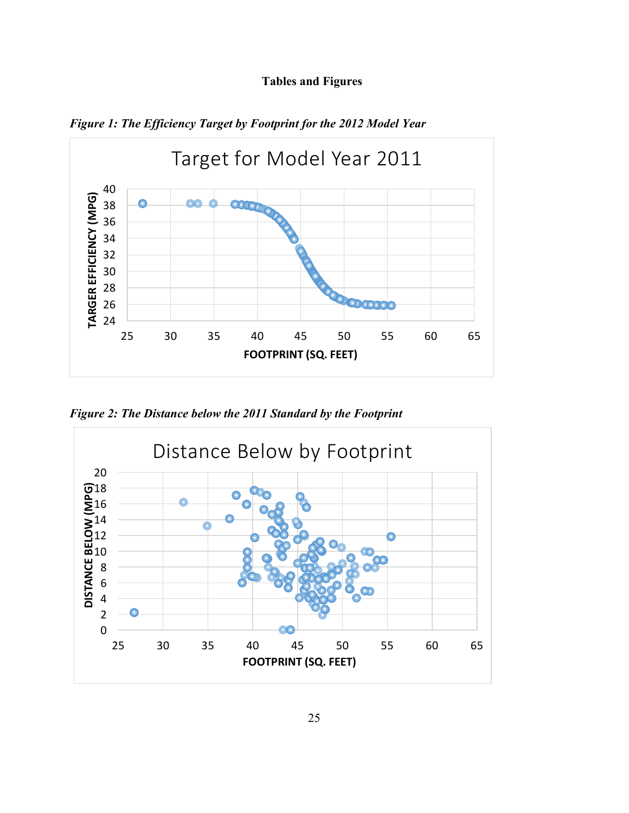## **Tables and Figures**



*Figure 1: The Efficiency Target by Footprint for the 2012 Model Year*

*Figure 2: The Distance below the 2011 Standard by the Footprint* 

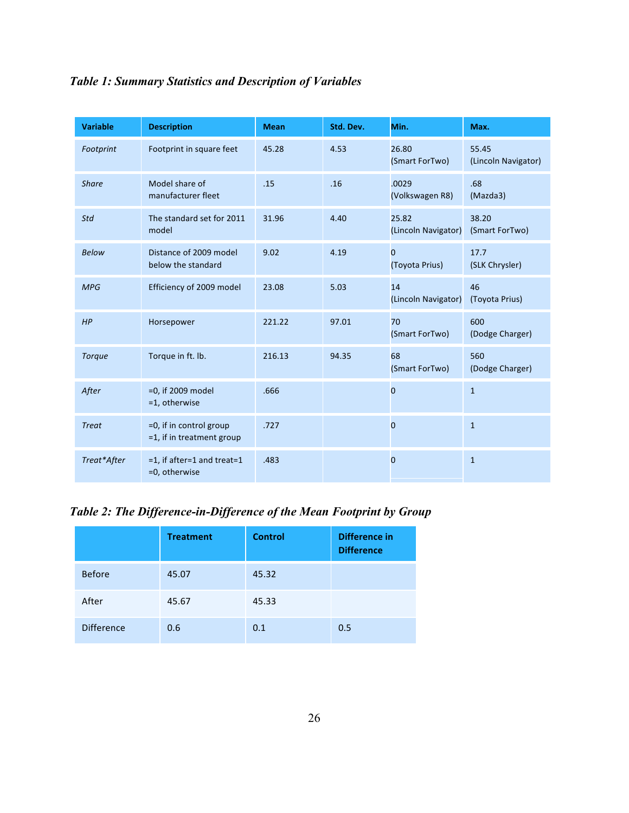| <b>Variable</b> | <b>Description</b>                                   | <b>Mean</b> | Std. Dev. | Min.                         | Max.                         |
|-----------------|------------------------------------------------------|-------------|-----------|------------------------------|------------------------------|
| Footprint       | Footprint in square feet                             | 45.28       | 4.53      | 26.80<br>(Smart ForTwo)      | 55.45<br>(Lincoln Navigator) |
| <b>Share</b>    | Model share of<br>manufacturer fleet                 | .15         | .16       | .0029<br>(Volkswagen R8)     | .68<br>(Mazda3)              |
| Std             | The standard set for 2011<br>model                   | 31.96       | 4.40      | 25.82<br>(Lincoln Navigator) | 38.20<br>(Smart ForTwo)      |
| <b>Below</b>    | Distance of 2009 model<br>below the standard         | 9.02        | 4.19      | 0<br>(Toyota Prius)          | 17.7<br>(SLK Chrysler)       |
| <b>MPG</b>      | Efficiency of 2009 model                             | 23.08       | 5.03      | 14<br>(Lincoln Navigator)    | 46<br>(Toyota Prius)         |
| HP              | Horsepower                                           | 221.22      | 97.01     | 70<br>(Smart ForTwo)         | 600<br>(Dodge Charger)       |
| <b>Torque</b>   | Torque in ft. lb.                                    | 216.13      | 94.35     | 68<br>(Smart ForTwo)         | 560<br>(Dodge Charger)       |
| After           | $=0$ , if 2009 model<br>=1, otherwise                | .666        |           | 0                            | $\mathbf{1}$                 |
| <b>Treat</b>    | =0, if in control group<br>=1, if in treatment group | .727        |           | 0                            | $\mathbf{1}$                 |
| Treat*After     | $=1$ , if after=1 and treat=1<br>=0, otherwise       | .483        |           | 0                            | $\mathbf{1}$                 |

*Table 2: The Difference-in-Difference of the Mean Footprint by Group*

|                   | <b>Treatment</b> | <b>Control</b> | Difference in<br><b>Difference</b> |
|-------------------|------------------|----------------|------------------------------------|
| <b>Before</b>     | 45.07            | 45.32          |                                    |
| After             | 45.67            | 45.33          |                                    |
| <b>Difference</b> | 0.6              | 0.1            | 0.5                                |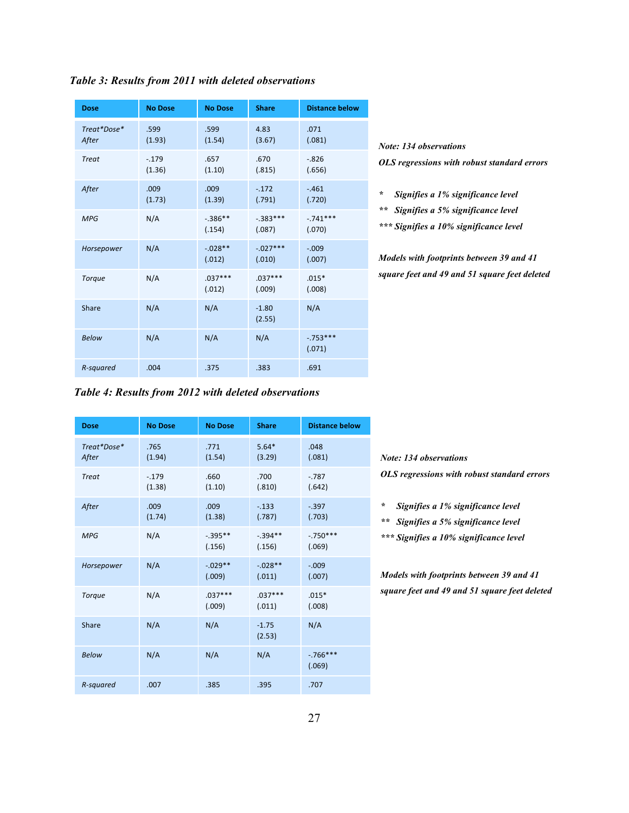| <b>Dose</b>          | <b>No Dose</b>     | <b>No Dose</b>      | <b>Share</b>         | <b>Distance below</b> |
|----------------------|--------------------|---------------------|----------------------|-----------------------|
| Treat*Dose*<br>After | .599<br>(1.93)     | .599<br>(1.54)      | 4.83<br>(3.67)       | .071<br>(.081)        |
| <b>Treat</b>         | $-0.179$<br>(1.36) | .657<br>(1.10)      | .670<br>(.815)       | $-0.826$<br>(.656)    |
| After                | .009<br>(1.73)     | .009<br>(1.39)      | $-.172$<br>(.791)    | $-.461$<br>(.720)     |
| MPG                  | N/A                | $-.386**$<br>(.154) | $-.383***$<br>(.087) | $-.741***$<br>(.070)  |
| Horsepower           | N/A                | $-.028**$<br>(.012) | $-.027***$<br>(.010) | $-.009$<br>(.007)     |
| <b>Torque</b>        | N/A                | $.037***$<br>(.012) | $.037***$<br>(.009)  | $.015*$<br>(.008)     |
| Share                | N/A                | N/A                 | $-1.80$<br>(2.55)    | N/A                   |
| <b>Below</b>         | N/A                | N/A                 | N/A                  | $-753***$<br>(.071)   |
| R-squared            | .004               | .375                | .383                 | .691                  |

*Table 3: Results from 2011 with deleted observations*

*Note: 134 observations OLS regressions with robust standard errors*

*\* Signifies a 1% significance level*

*\*\* Signifies a 5% significance level*

*\*\*\* Signifies a 10% significance level*

*Models with footprints between 39 and 41 square feet and 49 and 51 square feet deleted*

*Table 4: Results from 2012 with deleted observations*

| <b>Dose</b>          | <b>No Dose</b>    | <b>No Dose</b>       | <b>Share</b>        | <b>Distance below</b> |
|----------------------|-------------------|----------------------|---------------------|-----------------------|
| Treat*Dose*<br>After | .765<br>(1.94)    | .771<br>(1.54)       | $5.64*$<br>(3.29)   | .048<br>(.081)        |
| <b>Treat</b>         | $-.179$<br>(1.38) | .660<br>(1.10)       | .700<br>(.810)      | $-0.787$<br>(.642)    |
| After                | .009<br>(1.74)    | .009<br>(1.38)       | $-.133$<br>(.787)   | $-.397$<br>(.703)     |
| MPG                  | N/A               | $-.395**$<br>(.156)  | $-394**$<br>(.156)  | $-750***$<br>(.069)   |
| Horsepower           | N/A               | $-0.029**$<br>(.009) | $-.028**$<br>(.011) | $-.009$<br>(.007)     |
| Torque               | N/A               | $.037***$<br>(.009)  | $.037***$<br>(.011) | $.015*$<br>(.008)     |
| Share                | N/A               | N/A                  | $-1.75$<br>(2.53)   | N/A                   |
| <b>Below</b>         | N/A               | N/A                  | N/A                 | $-766***$<br>(.069)   |
| R-squared            | .007              | .385                 | .395                | .707                  |

*Note: 134 observations OLS regressions with robust standard errors*

*\* Signifies a 1% significance level*

*\*\* Signifies a 5% significance level*

*\*\*\* Signifies a 10% significance level*

*Models with footprints between 39 and 41 square feet and 49 and 51 square feet deleted*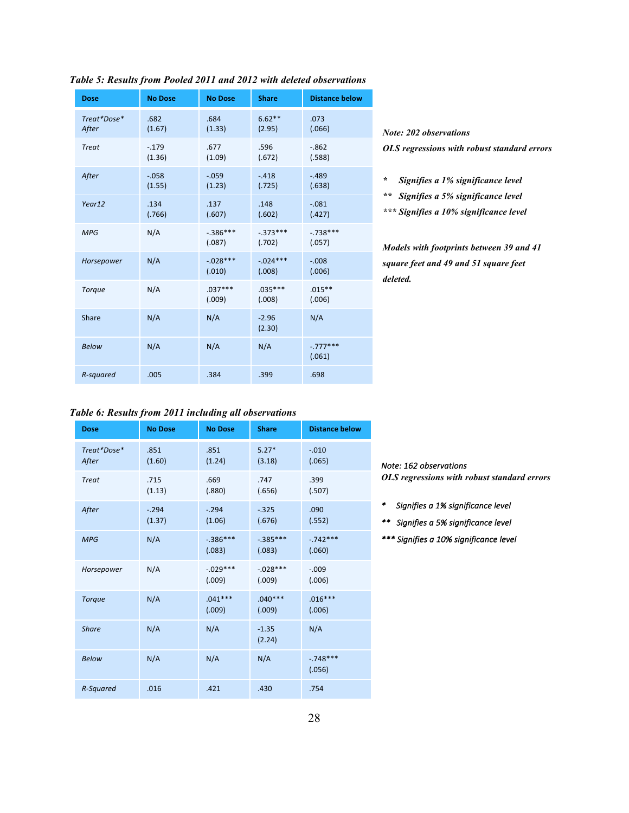| <b>Dose</b>          | <b>No Dose</b>    | <b>No Dose</b>        | <b>Share</b>         | <b>Distance below</b> |
|----------------------|-------------------|-----------------------|----------------------|-----------------------|
| Treat*Dose*<br>After | .682<br>(1.67)    | .684<br>(1.33)        | $6.62**$<br>(2.95)   | .073<br>(.066)        |
| <b>Treat</b>         | $-.179$<br>(1.36) | .677<br>(1.09)        | .596<br>(.672)       | $-0.862$<br>(.588)    |
| After                | $-.058$<br>(1.55) | $-.059$<br>(1.23)     | $-.418$<br>(.725)    | $-.489$<br>(.638)     |
| Year12               | .134<br>(.766)    | .137<br>(.607)        | .148<br>(.602)       | $-.081$<br>(.427)     |
| <b>MPG</b>           | N/A               | $-.386***$<br>(.087)  | $-.373***$<br>(.702) | $-.738***$<br>(.057)  |
| Horsepower           | N/A               | $-0.028***$<br>(.010) | $-.024***$<br>(.008) | $-.008$<br>(.006)     |
| Torque               | N/A               | $.037***$<br>(.009)   | $.035***$<br>(.008)  | $.015**$<br>(.006)    |
| Share                | N/A               | N/A                   | $-2.96$<br>(2.30)    | N/A                   |
| <b>Below</b>         | N/A               | N/A                   | N/A                  | $-.777***$<br>(.061)  |
| R-squared            | .005              | .384                  | .399                 | .698                  |

#### *Table 5: Results from Pooled 2011 and 2012 with deleted observations*

### *Note: 202 observations OLS regressions with robust standard errors*

*\* Signifies a 1% significance level*

*\*\* Signifies a 5% significance level*

*\*\*\* Signifies a 10% significance level*

*Models with footprints between 39 and 41 square feet and 49 and 51 square feet deleted.*

## *Table 6: Results from 2011 including all observations*

| <b>Dose</b>          | <b>No Dose</b>    | <b>No Dose</b>        | <b>Share</b>          | <b>Distance below</b> |
|----------------------|-------------------|-----------------------|-----------------------|-----------------------|
| Treat*Dose*<br>After | .851<br>(1.60)    | .851<br>(1.24)        | $5.27*$<br>(3.18)     | $-.010$<br>(.065)     |
| <b>Treat</b>         | .715<br>(1.13)    | .669<br>(.880)        | .747<br>(.656)        | .399<br>(.507)        |
| After                | $-.294$<br>(1.37) | $-.294$<br>(1.06)     | $-.325$<br>(.676)     | .090<br>(.552)        |
| MPG                  | N/A               | $-386***$<br>(.083)   | $-0.385***$<br>(.083) | $-742***$<br>(.060)   |
| Horsepower           | N/A               | $-0.029***$<br>(.009) | $-.028***$<br>(.009)  | $-0.09$<br>(.006)     |
| <b>Torque</b>        | N/A               | $.041***$<br>(.009)   | $.040***$<br>(.009)   | $.016***$<br>(.006)   |
| Share                | N/A               | N/A                   | $-1.35$<br>(2.24)     | N/A                   |
| <b>Below</b>         | N/A               | N/A                   | N/A                   | $-.748***$<br>(.056)  |
| R-Squared            | .016              | .421                  | .430                  | .754                  |

*Note: 162 observations* 

*OLS regressions with robust standard errors*

- *\* Signifies a 1% significance level*
- *\*\* Signifies a 5% significance level*
- *\*\*\* Signifies a 10% significance level*